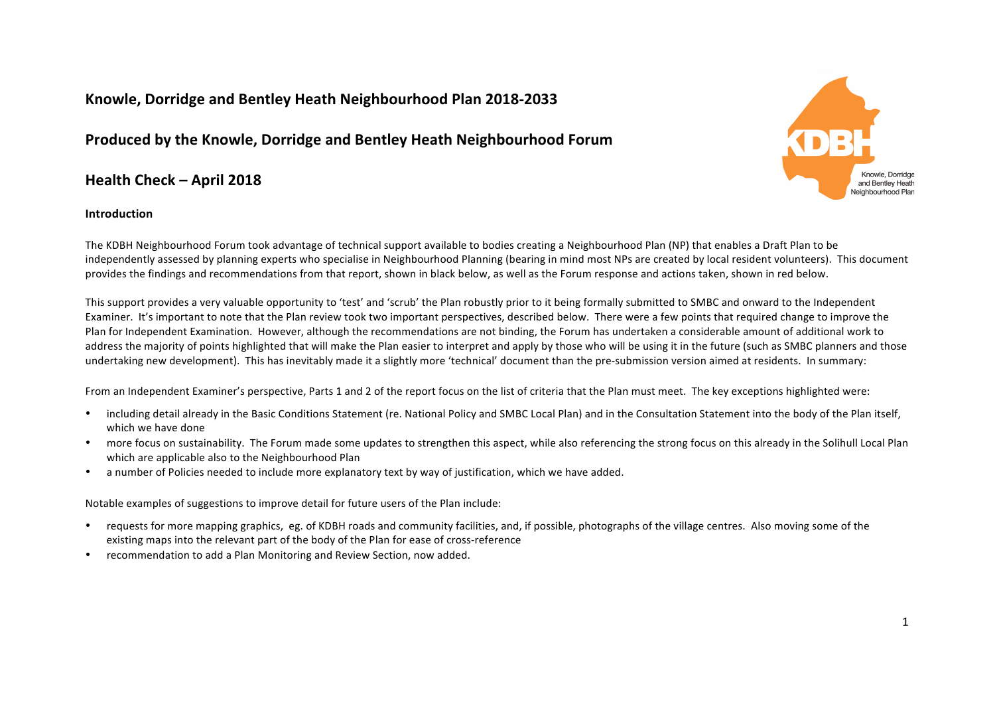# **Knowle, Dorridge and Bentley Heath Neighbourhood Plan 2018-2033**

# **Produced by the Knowle, Dorridge and Bentley Heath Neighbourhood Forum**

# **Health Check – April 2018**

## **Introduction**



The KDBH Neighbourhood Forum took advantage of technical support available to bodies creating a Neighbourhood Plan (NP) that enables a Draft Plan to be independently assessed by planning experts who specialise in Neighbourhood Planning (bearing in mind most NPs are created by local resident volunteers). This document provides the findings and recommendations from that report, shown in black below, as well as the Forum response and actions taken, shown in red below.

This support provides a very valuable opportunity to 'test' and 'scrub' the Plan robustly prior to it being formally submitted to SMBC and onward to the Independent Examiner. It's important to note that the Plan review took two important perspectives, described below. There were a few points that required change to improve the Plan for Independent Examination. However, although the recommendations are not binding, the Forum has undertaken a considerable amount of additional work to address the majority of points highlighted that will make the Plan easier to interpret and apply by those who will be using it in the future (such as SMBC planners and those undertaking new development). This has inevitably made it a slightly more 'technical' document than the pre-submission version aimed at residents. In summary:

From an Independent Examiner's perspective, Parts 1 and 2 of the report focus on the list of criteria that the Plan must meet. The key exceptions highlighted were:

- including detail already in the Basic Conditions Statement (re. National Policy and SMBC Local Plan) and in the Consultation Statement into the body of the Plan itself, which we have done
- more focus on sustainability. The Forum made some updates to strengthen this aspect, while also referencing the strong focus on this already in the Solihull Local Plan which are applicable also to the Neighbourhood Plan
- a number of Policies needed to include more explanatory text by way of justification, which we have added.

Notable examples of suggestions to improve detail for future users of the Plan include:

- requests for more mapping graphics, eg. of KDBH roads and community facilities, and, if possible, photographs of the village centres. Also moving some of the existing maps into the relevant part of the body of the Plan for ease of cross-reference
- recommendation to add a Plan Monitoring and Review Section, now added.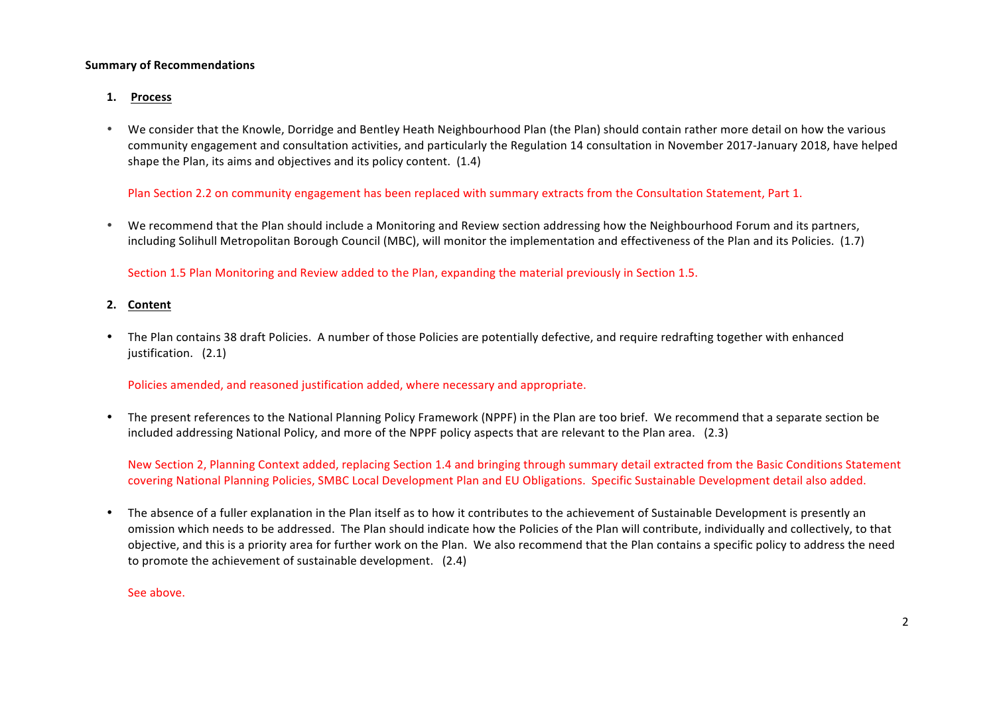## **Summary of Recommendations**

- **1. Process**
- We consider that the Knowle, Dorridge and Bentley Heath Neighbourhood Plan (the Plan) should contain rather more detail on how the various community engagement and consultation activities, and particularly the Regulation 14 consultation in November 2017-January 2018, have helped shape the Plan, its aims and objectives and its policy content. (1.4)

Plan Section 2.2 on community engagement has been replaced with summary extracts from the Consultation Statement, Part 1.

• We recommend that the Plan should include a Monitoring and Review section addressing how the Neighbourhood Forum and its partners, including Solihull Metropolitan Borough Council (MBC), will monitor the implementation and effectiveness of the Plan and its Policies. (1.7)

Section 1.5 Plan Monitoring and Review added to the Plan, expanding the material previously in Section 1.5.

## **2. Content**

• The Plan contains 38 draft Policies. A number of those Policies are potentially defective, and require redrafting together with enhanced justification. (2.1)

Policies amended, and reasoned justification added, where necessary and appropriate.

The present references to the National Planning Policy Framework (NPPF) in the Plan are too brief. We recommend that a separate section be included addressing National Policy, and more of the NPPF policy aspects that are relevant to the Plan area. (2.3)

New Section 2, Planning Context added, replacing Section 1.4 and bringing through summary detail extracted from the Basic Conditions Statement covering National Planning Policies, SMBC Local Development Plan and EU Obligations. Specific Sustainable Development detail also added.

• The absence of a fuller explanation in the Plan itself as to how it contributes to the achievement of Sustainable Development is presently an omission which needs to be addressed. The Plan should indicate how the Policies of the Plan will contribute, individually and collectively, to that objective, and this is a priority area for further work on the Plan. We also recommend that the Plan contains a specific policy to address the need to promote the achievement of sustainable development. (2.4)

See above.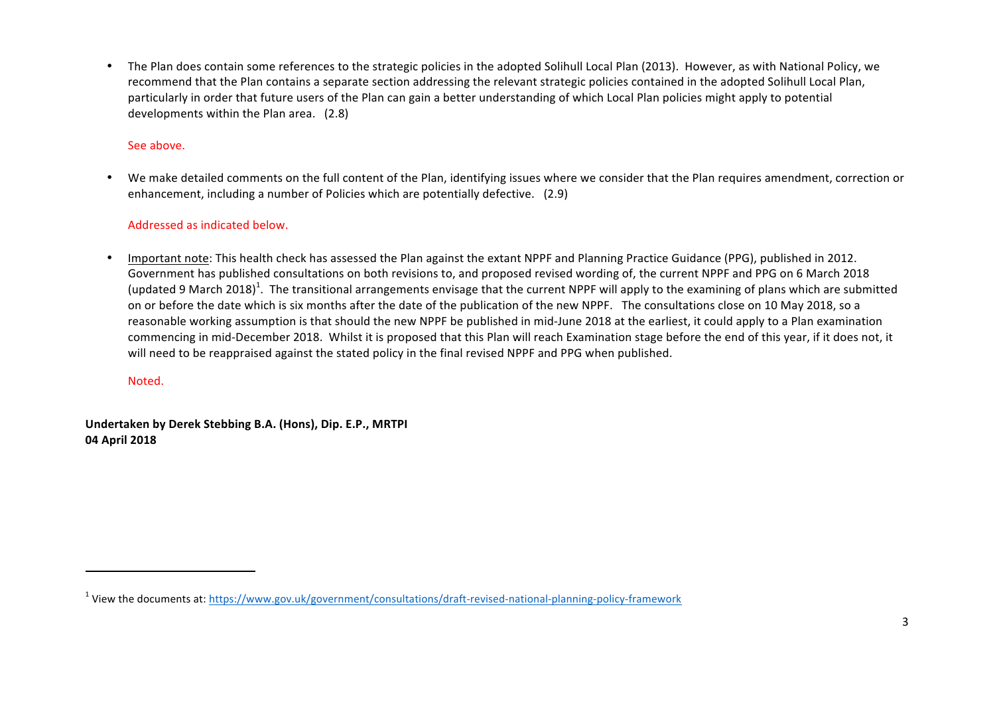• The Plan does contain some references to the strategic policies in the adopted Solihull Local Plan (2013). However, as with National Policy, we recommend that the Plan contains a separate section addressing the relevant strategic policies contained in the adopted Solihull Local Plan, particularly in order that future users of the Plan can gain a better understanding of which Local Plan policies might apply to potential developments within the Plan area. (2.8)

# See above.

We make detailed comments on the full content of the Plan, identifying issues where we consider that the Plan requires amendment, correction or enhancement, including a number of Policies which are potentially defective. (2.9)

# Addressed as indicated below.

Important note: This health check has assessed the Plan against the extant NPPF and Planning Practice Guidance (PPG), published in 2012. Government has published consultations on both revisions to, and proposed revised wording of, the current NPPF and PPG on 6 March 2018 (updated 9 March 2018)<sup>1</sup>. The transitional arrangements envisage that the current NPPF will apply to the examining of plans which are submitted on or before the date which is six months after the date of the publication of the new NPPF. The consultations close on 10 May 2018, so a reasonable working assumption is that should the new NPPF be published in mid-June 2018 at the earliest, it could apply to a Plan examination commencing in mid-December 2018. Whilst it is proposed that this Plan will reach Examination stage before the end of this year, if it does not, it will need to be reappraised against the stated policy in the final revised NPPF and PPG when published.

Noted.

 

**Undertaken by Derek Stebbing B.A. (Hons), Dip. E.P., MRTPI 04 April 2018**

 $1$  View the documents at: https://www.gov.uk/government/consultations/draft-revised-national-planning-policy-framework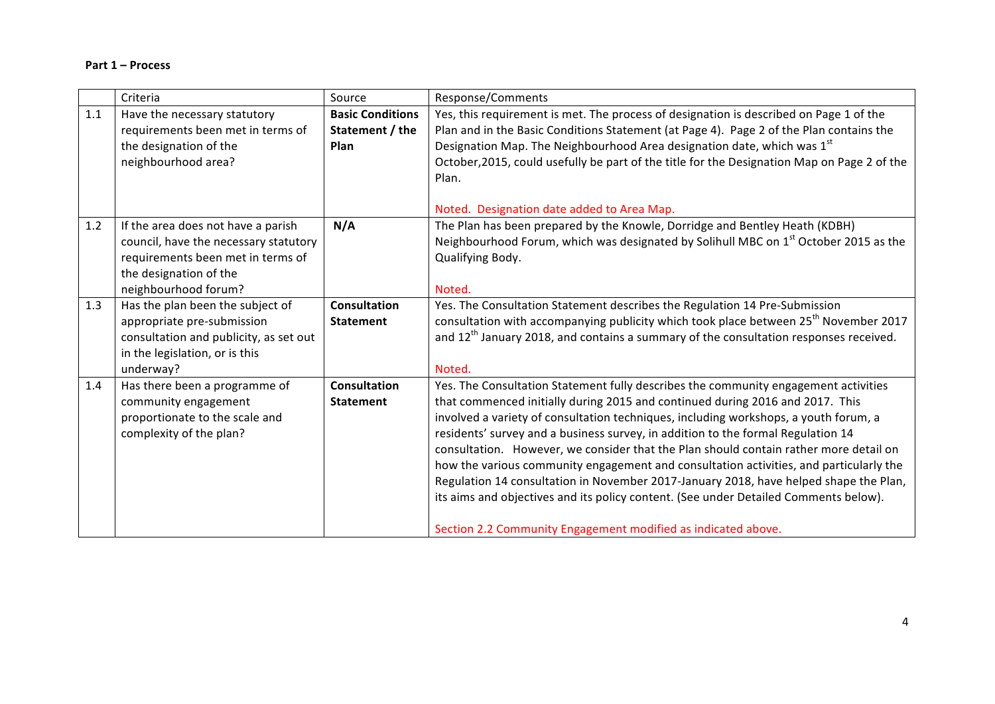## **Part 1 – Process**

|     | Criteria                                                                                                                                                           | Source                                             | Response/Comments                                                                                                                                                                                                                                                                                                                                                                                                                                                                                                                                                                                                                                                                                                                                                                     |
|-----|--------------------------------------------------------------------------------------------------------------------------------------------------------------------|----------------------------------------------------|---------------------------------------------------------------------------------------------------------------------------------------------------------------------------------------------------------------------------------------------------------------------------------------------------------------------------------------------------------------------------------------------------------------------------------------------------------------------------------------------------------------------------------------------------------------------------------------------------------------------------------------------------------------------------------------------------------------------------------------------------------------------------------------|
| 1.1 | Have the necessary statutory<br>requirements been met in terms of<br>the designation of the<br>neighbourhood area?                                                 | <b>Basic Conditions</b><br>Statement / the<br>Plan | Yes, this requirement is met. The process of designation is described on Page 1 of the<br>Plan and in the Basic Conditions Statement (at Page 4). Page 2 of the Plan contains the<br>Designation Map. The Neighbourhood Area designation date, which was 1st<br>October, 2015, could usefully be part of the title for the Designation Map on Page 2 of the<br>Plan.                                                                                                                                                                                                                                                                                                                                                                                                                  |
| 1.2 | If the area does not have a parish<br>council, have the necessary statutory<br>requirements been met in terms of<br>the designation of the<br>neighbourhood forum? | N/A                                                | Noted. Designation date added to Area Map.<br>The Plan has been prepared by the Knowle, Dorridge and Bentley Heath (KDBH)<br>Neighbourhood Forum, which was designated by Solihull MBC on 1 <sup>st</sup> October 2015 as the<br>Qualifying Body.<br>Noted.                                                                                                                                                                                                                                                                                                                                                                                                                                                                                                                           |
| 1.3 | Has the plan been the subject of<br>appropriate pre-submission<br>consultation and publicity, as set out<br>in the legislation, or is this<br>underway?            | <b>Consultation</b><br><b>Statement</b>            | Yes. The Consultation Statement describes the Regulation 14 Pre-Submission<br>consultation with accompanying publicity which took place between 25 <sup>th</sup> November 2017<br>and 12 <sup>th</sup> January 2018, and contains a summary of the consultation responses received.<br>Noted.                                                                                                                                                                                                                                                                                                                                                                                                                                                                                         |
| 1.4 | Has there been a programme of<br>community engagement<br>proportionate to the scale and<br>complexity of the plan?                                                 | <b>Consultation</b><br><b>Statement</b>            | Yes. The Consultation Statement fully describes the community engagement activities<br>that commenced initially during 2015 and continued during 2016 and 2017. This<br>involved a variety of consultation techniques, including workshops, a youth forum, a<br>residents' survey and a business survey, in addition to the formal Regulation 14<br>consultation. However, we consider that the Plan should contain rather more detail on<br>how the various community engagement and consultation activities, and particularly the<br>Regulation 14 consultation in November 2017-January 2018, have helped shape the Plan,<br>its aims and objectives and its policy content. (See under Detailed Comments below).<br>Section 2.2 Community Engagement modified as indicated above. |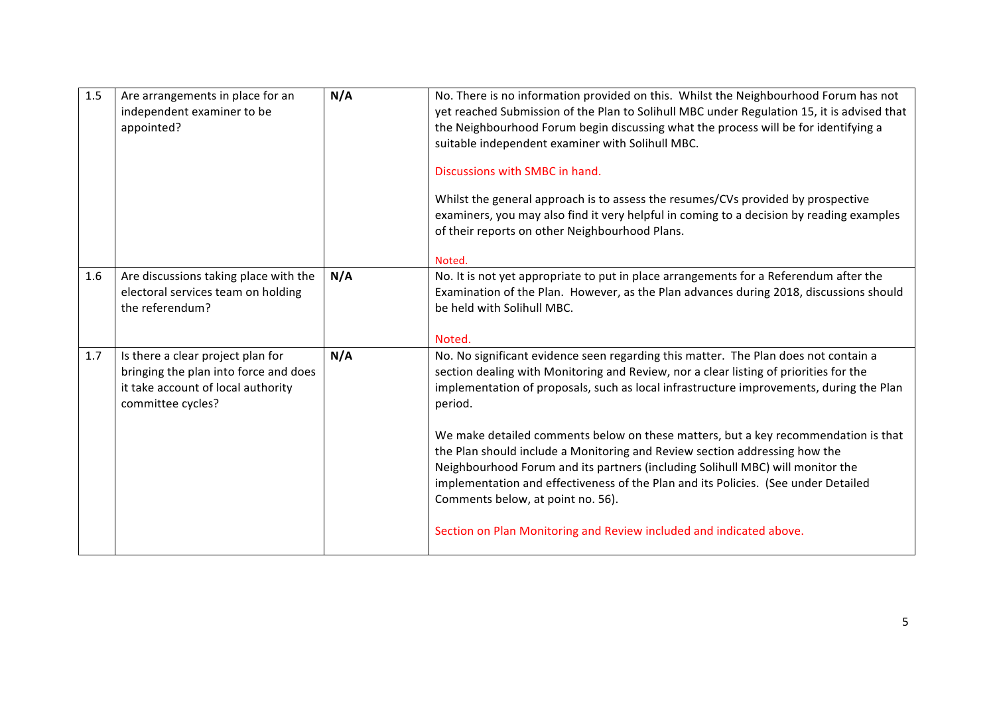| 1.5 | Are arrangements in place for an<br>independent examiner to be<br>appointed?                                                          | N/A | No. There is no information provided on this. Whilst the Neighbourhood Forum has not<br>yet reached Submission of the Plan to Solihull MBC under Regulation 15, it is advised that<br>the Neighbourhood Forum begin discussing what the process will be for identifying a<br>suitable independent examiner with Solihull MBC.<br>Discussions with SMBC in hand.<br>Whilst the general approach is to assess the resumes/CVs provided by prospective<br>examiners, you may also find it very helpful in coming to a decision by reading examples<br>of their reports on other Neighbourhood Plans.<br>Noted. |
|-----|---------------------------------------------------------------------------------------------------------------------------------------|-----|-------------------------------------------------------------------------------------------------------------------------------------------------------------------------------------------------------------------------------------------------------------------------------------------------------------------------------------------------------------------------------------------------------------------------------------------------------------------------------------------------------------------------------------------------------------------------------------------------------------|
| 1.6 | Are discussions taking place with the<br>electoral services team on holding<br>the referendum?                                        | N/A | No. It is not yet appropriate to put in place arrangements for a Referendum after the<br>Examination of the Plan. However, as the Plan advances during 2018, discussions should<br>be held with Solihull MBC.<br>Noted.                                                                                                                                                                                                                                                                                                                                                                                     |
| 1.7 | Is there a clear project plan for<br>bringing the plan into force and does<br>it take account of local authority<br>committee cycles? | N/A | No. No significant evidence seen regarding this matter. The Plan does not contain a<br>section dealing with Monitoring and Review, nor a clear listing of priorities for the<br>implementation of proposals, such as local infrastructure improvements, during the Plan<br>period.                                                                                                                                                                                                                                                                                                                          |
|     |                                                                                                                                       |     | We make detailed comments below on these matters, but a key recommendation is that<br>the Plan should include a Monitoring and Review section addressing how the<br>Neighbourhood Forum and its partners (including Solihull MBC) will monitor the<br>implementation and effectiveness of the Plan and its Policies. (See under Detailed<br>Comments below, at point no. 56).                                                                                                                                                                                                                               |
|     |                                                                                                                                       |     | Section on Plan Monitoring and Review included and indicated above.                                                                                                                                                                                                                                                                                                                                                                                                                                                                                                                                         |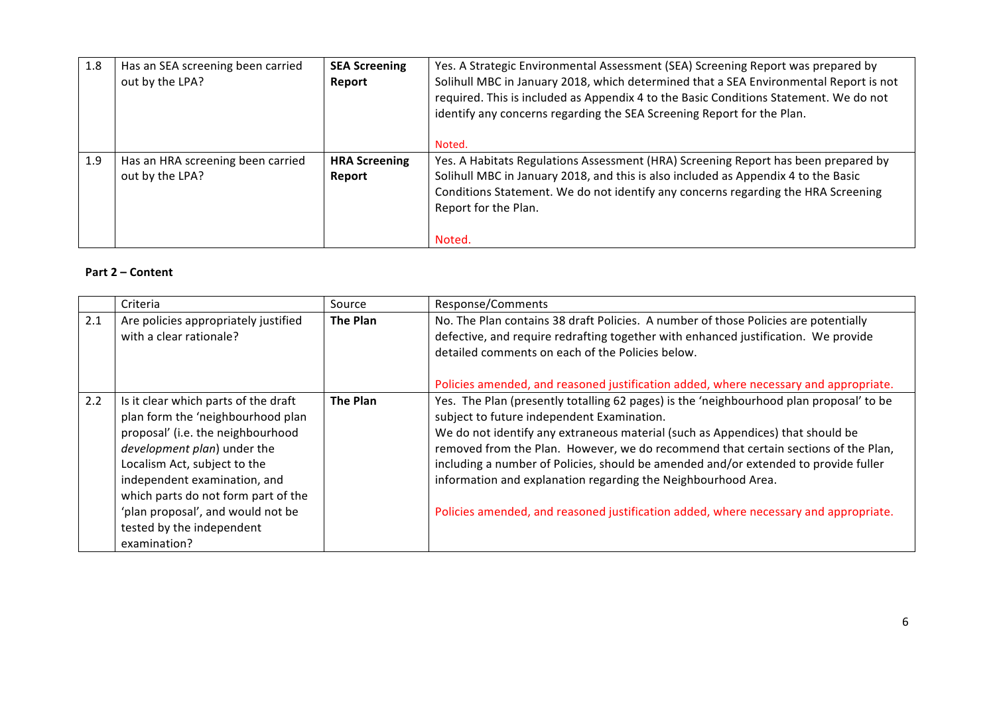| 1.8 | Has an SEA screening been carried | <b>SEA Screening</b> | Yes. A Strategic Environmental Assessment (SEA) Screening Report was prepared by      |
|-----|-----------------------------------|----------------------|---------------------------------------------------------------------------------------|
|     | out by the LPA?                   | Report               | Solihull MBC in January 2018, which determined that a SEA Environmental Report is not |
|     |                                   |                      | required. This is included as Appendix 4 to the Basic Conditions Statement. We do not |
|     |                                   |                      | identify any concerns regarding the SEA Screening Report for the Plan.                |
|     |                                   |                      |                                                                                       |
|     |                                   |                      | Noted.                                                                                |
| 1.9 | Has an HRA screening been carried | <b>HRA Screening</b> | Yes. A Habitats Regulations Assessment (HRA) Screening Report has been prepared by    |
|     | out by the LPA?                   | Report               | Solihull MBC in January 2018, and this is also included as Appendix 4 to the Basic    |
|     |                                   |                      | Conditions Statement. We do not identify any concerns regarding the HRA Screening     |
|     |                                   |                      | Report for the Plan.                                                                  |
|     |                                   |                      |                                                                                       |
|     |                                   |                      | Noted.                                                                                |

# **Part 2 – Content**

|     | Criteria                                                                                                                                                                                                                                                                                                                               | Source   | Response/Comments                                                                                                                                                                                                                                                                                                                                                                                                                                                                                                                                             |
|-----|----------------------------------------------------------------------------------------------------------------------------------------------------------------------------------------------------------------------------------------------------------------------------------------------------------------------------------------|----------|---------------------------------------------------------------------------------------------------------------------------------------------------------------------------------------------------------------------------------------------------------------------------------------------------------------------------------------------------------------------------------------------------------------------------------------------------------------------------------------------------------------------------------------------------------------|
| 2.1 | Are policies appropriately justified<br>with a clear rationale?                                                                                                                                                                                                                                                                        | The Plan | No. The Plan contains 38 draft Policies. A number of those Policies are potentially<br>defective, and require redrafting together with enhanced justification. We provide<br>detailed comments on each of the Policies below.<br>Policies amended, and reasoned justification added, where necessary and appropriate.                                                                                                                                                                                                                                         |
| 2.2 | Is it clear which parts of the draft<br>plan form the 'neighbourhood plan<br>proposal' (i.e. the neighbourhood<br>development plan) under the<br>Localism Act, subject to the<br>independent examination, and<br>which parts do not form part of the<br>'plan proposal', and would not be<br>tested by the independent<br>examination? | The Plan | Yes. The Plan (presently totalling 62 pages) is the 'neighbourhood plan proposal' to be<br>subject to future independent Examination.<br>We do not identify any extraneous material (such as Appendices) that should be<br>removed from the Plan. However, we do recommend that certain sections of the Plan,<br>including a number of Policies, should be amended and/or extended to provide fuller<br>information and explanation regarding the Neighbourhood Area.<br>Policies amended, and reasoned justification added, where necessary and appropriate. |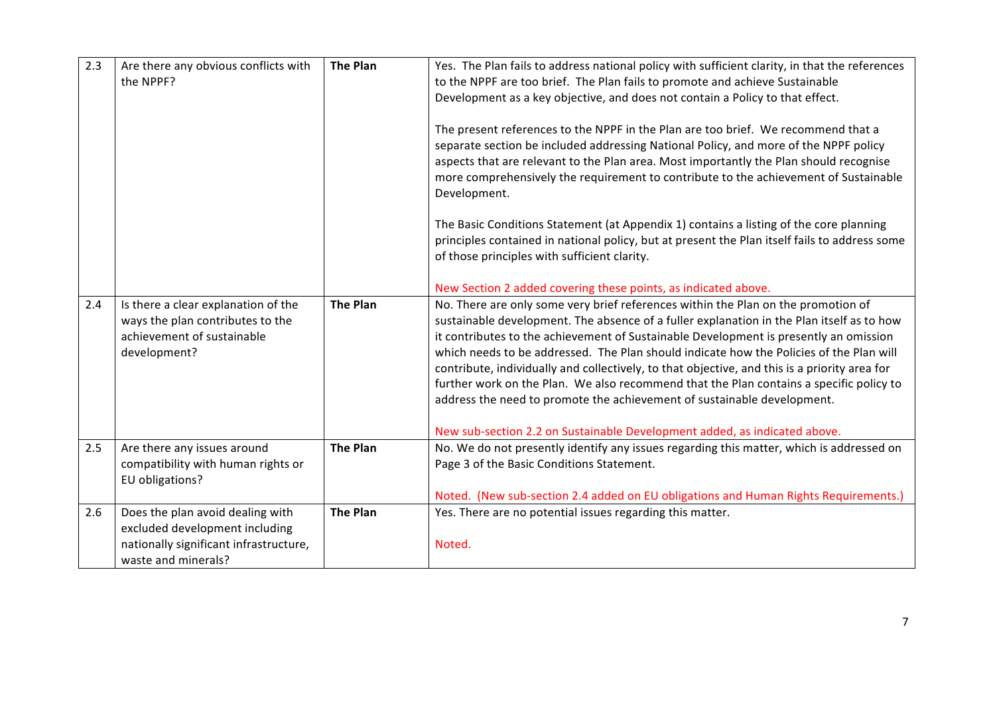| 2.3 | Are there any obvious conflicts with<br>the NPPF?                                                                                   | <b>The Plan</b> | Yes. The Plan fails to address national policy with sufficient clarity, in that the references<br>to the NPPF are too brief. The Plan fails to promote and achieve Sustainable<br>Development as a key objective, and does not contain a Policy to that effect.<br>The present references to the NPPF in the Plan are too brief. We recommend that a<br>separate section be included addressing National Policy, and more of the NPPF policy<br>aspects that are relevant to the Plan area. Most importantly the Plan should recognise<br>more comprehensively the requirement to contribute to the achievement of Sustainable<br>Development.<br>The Basic Conditions Statement (at Appendix 1) contains a listing of the core planning<br>principles contained in national policy, but at present the Plan itself fails to address some<br>of those principles with sufficient clarity.<br>New Section 2 added covering these points, as indicated above. |
|-----|-------------------------------------------------------------------------------------------------------------------------------------|-----------------|-------------------------------------------------------------------------------------------------------------------------------------------------------------------------------------------------------------------------------------------------------------------------------------------------------------------------------------------------------------------------------------------------------------------------------------------------------------------------------------------------------------------------------------------------------------------------------------------------------------------------------------------------------------------------------------------------------------------------------------------------------------------------------------------------------------------------------------------------------------------------------------------------------------------------------------------------------------|
| 2.4 | Is there a clear explanation of the<br>ways the plan contributes to the<br>achievement of sustainable<br>development?               | <b>The Plan</b> | No. There are only some very brief references within the Plan on the promotion of<br>sustainable development. The absence of a fuller explanation in the Plan itself as to how<br>it contributes to the achievement of Sustainable Development is presently an omission<br>which needs to be addressed. The Plan should indicate how the Policies of the Plan will<br>contribute, individually and collectively, to that objective, and this is a priority area for<br>further work on the Plan. We also recommend that the Plan contains a specific policy to<br>address the need to promote the achievement of sustainable development.<br>New sub-section 2.2 on Sustainable Development added, as indicated above.                                                                                                                                                                                                                                      |
| 2.5 | Are there any issues around<br>compatibility with human rights or<br>EU obligations?                                                | <b>The Plan</b> | No. We do not presently identify any issues regarding this matter, which is addressed on<br>Page 3 of the Basic Conditions Statement.<br>Noted. (New sub-section 2.4 added on EU obligations and Human Rights Requirements.)                                                                                                                                                                                                                                                                                                                                                                                                                                                                                                                                                                                                                                                                                                                                |
| 2.6 | Does the plan avoid dealing with<br>excluded development including<br>nationally significant infrastructure,<br>waste and minerals? | <b>The Plan</b> | Yes. There are no potential issues regarding this matter.<br>Noted.                                                                                                                                                                                                                                                                                                                                                                                                                                                                                                                                                                                                                                                                                                                                                                                                                                                                                         |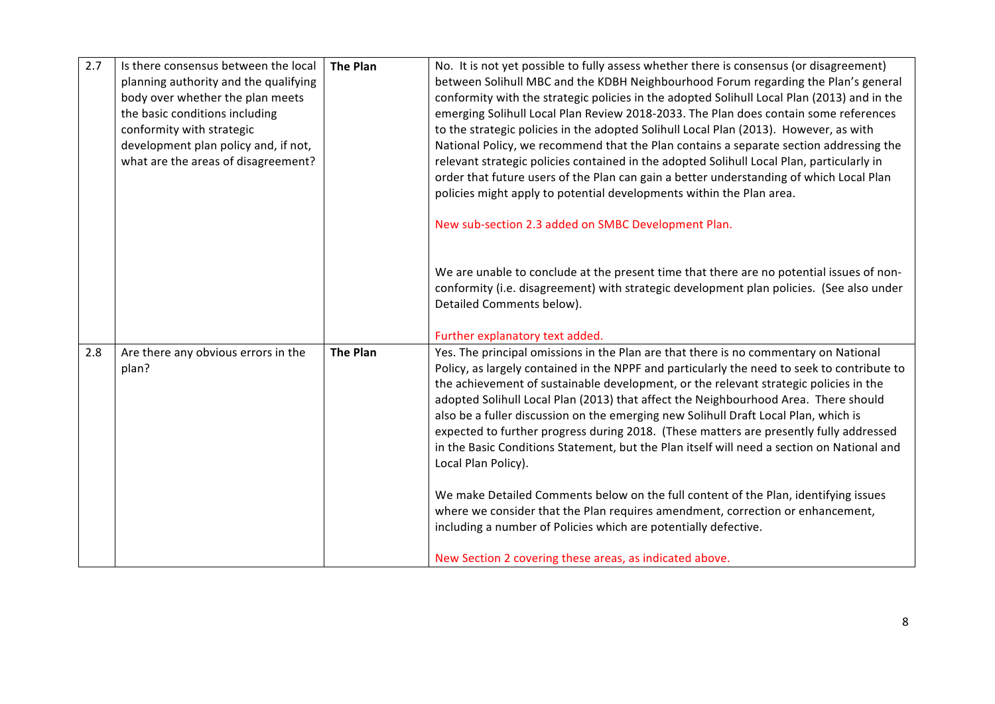| 2.7 | Is there consensus between the local<br>planning authority and the qualifying<br>body over whether the plan meets<br>the basic conditions including<br>conformity with strategic<br>development plan policy and, if not,<br>what are the areas of disagreement? | <b>The Plan</b> | No. It is not yet possible to fully assess whether there is consensus (or disagreement)<br>between Solihull MBC and the KDBH Neighbourhood Forum regarding the Plan's general<br>conformity with the strategic policies in the adopted Solihull Local Plan (2013) and in the<br>emerging Solihull Local Plan Review 2018-2033. The Plan does contain some references<br>to the strategic policies in the adopted Solihull Local Plan (2013). However, as with<br>National Policy, we recommend that the Plan contains a separate section addressing the<br>relevant strategic policies contained in the adopted Solihull Local Plan, particularly in |
|-----|-----------------------------------------------------------------------------------------------------------------------------------------------------------------------------------------------------------------------------------------------------------------|-----------------|------------------------------------------------------------------------------------------------------------------------------------------------------------------------------------------------------------------------------------------------------------------------------------------------------------------------------------------------------------------------------------------------------------------------------------------------------------------------------------------------------------------------------------------------------------------------------------------------------------------------------------------------------|
|     |                                                                                                                                                                                                                                                                 |                 | order that future users of the Plan can gain a better understanding of which Local Plan<br>policies might apply to potential developments within the Plan area.                                                                                                                                                                                                                                                                                                                                                                                                                                                                                      |
|     |                                                                                                                                                                                                                                                                 |                 | New sub-section 2.3 added on SMBC Development Plan.                                                                                                                                                                                                                                                                                                                                                                                                                                                                                                                                                                                                  |
|     |                                                                                                                                                                                                                                                                 |                 | We are unable to conclude at the present time that there are no potential issues of non-<br>conformity (i.e. disagreement) with strategic development plan policies. (See also under<br>Detailed Comments below).                                                                                                                                                                                                                                                                                                                                                                                                                                    |
| 2.8 | Are there any obvious errors in the                                                                                                                                                                                                                             | <b>The Plan</b> | Further explanatory text added.<br>Yes. The principal omissions in the Plan are that there is no commentary on National                                                                                                                                                                                                                                                                                                                                                                                                                                                                                                                              |
|     | plan?                                                                                                                                                                                                                                                           |                 | Policy, as largely contained in the NPPF and particularly the need to seek to contribute to<br>the achievement of sustainable development, or the relevant strategic policies in the<br>adopted Solihull Local Plan (2013) that affect the Neighbourhood Area. There should<br>also be a fuller discussion on the emerging new Solihull Draft Local Plan, which is<br>expected to further progress during 2018. (These matters are presently fully addressed<br>in the Basic Conditions Statement, but the Plan itself will need a section on National and<br>Local Plan Policy).                                                                    |
|     |                                                                                                                                                                                                                                                                 |                 | We make Detailed Comments below on the full content of the Plan, identifying issues<br>where we consider that the Plan requires amendment, correction or enhancement,<br>including a number of Policies which are potentially defective.                                                                                                                                                                                                                                                                                                                                                                                                             |
|     |                                                                                                                                                                                                                                                                 |                 | New Section 2 covering these areas, as indicated above.                                                                                                                                                                                                                                                                                                                                                                                                                                                                                                                                                                                              |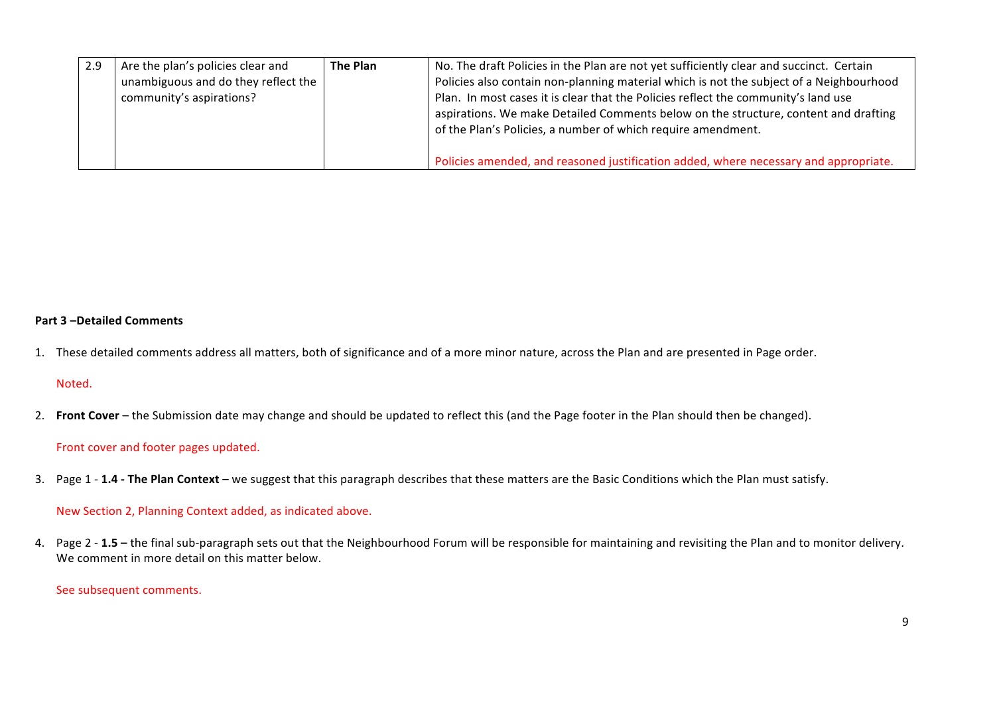| 2.9 | Are the plan's policies clear and   | The Plan | No. The draft Policies in the Plan are not yet sufficiently clear and succinct. Certain |
|-----|-------------------------------------|----------|-----------------------------------------------------------------------------------------|
|     | unambiguous and do they reflect the |          | Policies also contain non-planning material which is not the subject of a Neighbourhood |
|     | community's aspirations?            |          | Plan. In most cases it is clear that the Policies reflect the community's land use      |
|     |                                     |          | aspirations. We make Detailed Comments below on the structure, content and drafting     |
|     |                                     |          | of the Plan's Policies, a number of which require amendment.                            |
|     |                                     |          |                                                                                         |
|     |                                     |          | Policies amended, and reasoned justification added, where necessary and appropriate.    |

## **Part 3 –Detailed Comments**

1. These detailed comments address all matters, both of significance and of a more minor nature, across the Plan and are presented in Page order.

## Noted.

2. **Front Cover** – the Submission date may change and should be updated to reflect this (and the Page footer in the Plan should then be changed).

## Front cover and footer pages updated.

3. Page 1 - **1.4 - The Plan Context** – we suggest that this paragraph describes that these matters are the Basic Conditions which the Plan must satisfy.

## New Section 2, Planning Context added, as indicated above.

4. Page 2 - 1.5 - the final sub-paragraph sets out that the Neighbourhood Forum will be responsible for maintaining and revisiting the Plan and to monitor delivery. We comment in more detail on this matter below.

# See subsequent comments.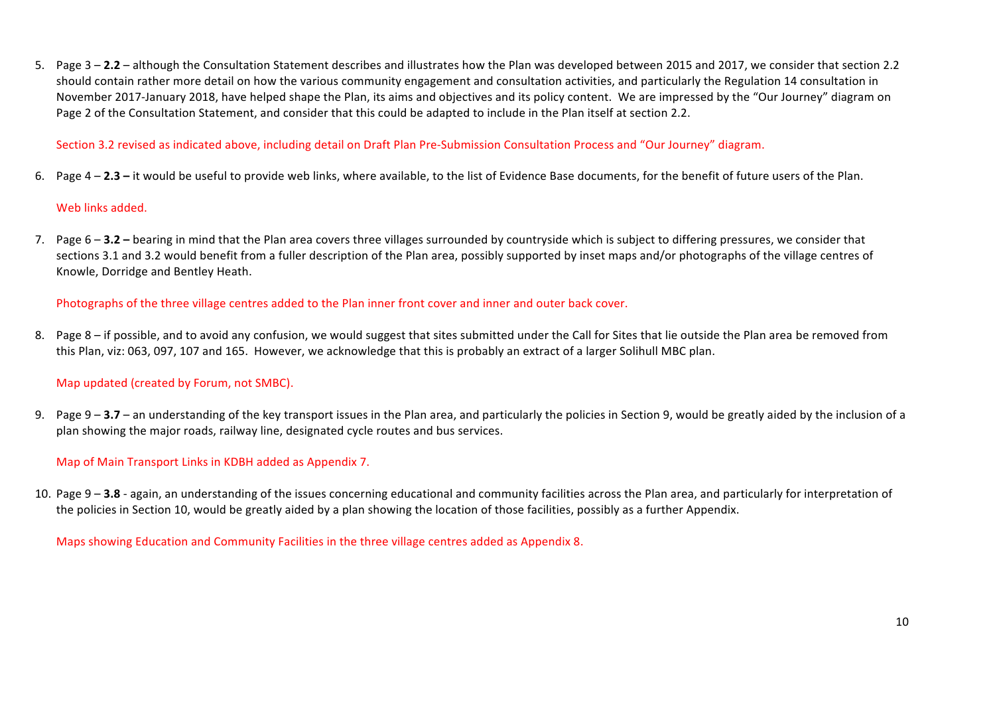5. Page  $3 - 2.2 -$  although the Consultation Statement describes and illustrates how the Plan was developed between 2015 and 2017, we consider that section 2.2 should contain rather more detail on how the various community engagement and consultation activities, and particularly the Regulation 14 consultation in November 2017-January 2018, have helped shape the Plan, its aims and objectives and its policy content. We are impressed by the "Our Journey" diagram on Page 2 of the Consultation Statement, and consider that this could be adapted to include in the Plan itself at section 2.2.

Section 3.2 revised as indicated above, including detail on Draft Plan Pre-Submission Consultation Process and "Our Journey" diagram.

6. Page  $4 - 2.3 -$  it would be useful to provide web links, where available, to the list of Evidence Base documents, for the benefit of future users of the Plan.

## Web links added.

7. Page 6 - 3.2 - bearing in mind that the Plan area covers three villages surrounded by countryside which is subject to differing pressures, we consider that sections 3.1 and 3.2 would benefit from a fuller description of the Plan area, possibly supported by inset maps and/or photographs of the village centres of Knowle, Dorridge and Bentley Heath.

Photographs of the three village centres added to the Plan inner front cover and inner and outer back cover.

8. Page 8 - if possible, and to avoid any confusion, we would suggest that sites submitted under the Call for Sites that lie outside the Plan area be removed from this Plan, viz: 063, 097, 107 and 165. However, we acknowledge that this is probably an extract of a larger Solihull MBC plan.

# Map updated (created by Forum, not SMBC).

9. Page  $9 - 3.7 -$  an understanding of the key transport issues in the Plan area, and particularly the policies in Section 9, would be greatly aided by the inclusion of a plan showing the major roads, railway line, designated cycle routes and bus services.

# Map of Main Transport Links in KDBH added as Appendix 7.

10. Page 9 – 3.8 - again, an understanding of the issues concerning educational and community facilities across the Plan area, and particularly for interpretation of the policies in Section 10, would be greatly aided by a plan showing the location of those facilities, possibly as a further Appendix.

Maps showing Education and Community Facilities in the three village centres added as Appendix 8.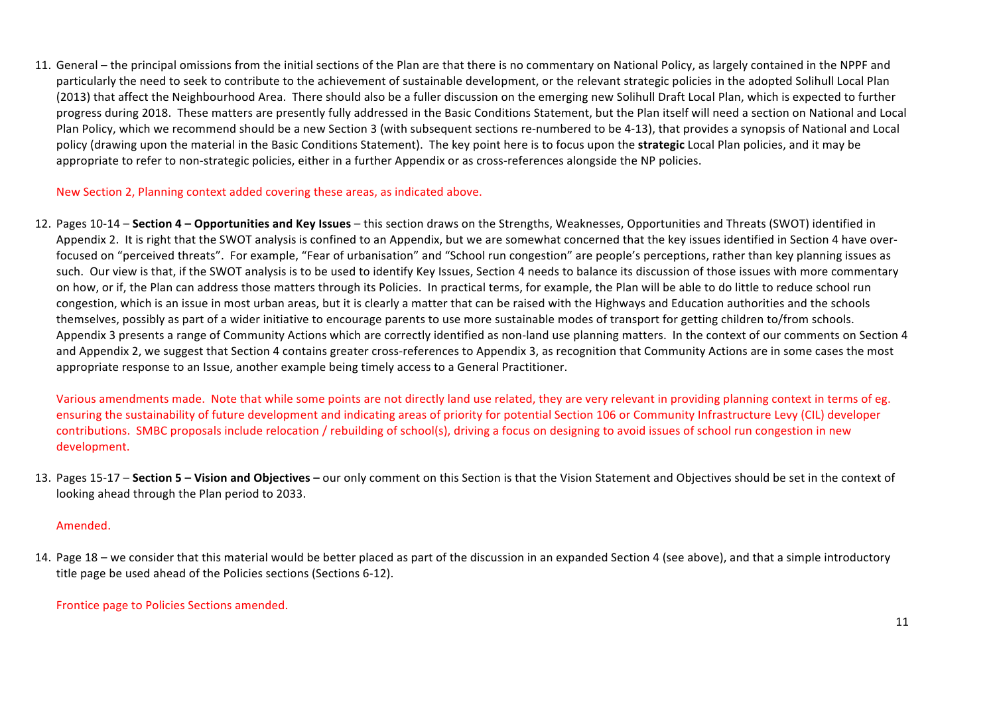11. General – the principal omissions from the initial sections of the Plan are that there is no commentary on National Policy, as largely contained in the NPPF and particularly the need to seek to contribute to the achievement of sustainable development, or the relevant strategic policies in the adopted Solihull Local Plan (2013) that affect the Neighbourhood Area. There should also be a fuller discussion on the emerging new Solihull Draft Local Plan, which is expected to further progress during 2018. These matters are presently fully addressed in the Basic Conditions Statement, but the Plan itself will need a section on National and Local Plan Policy, which we recommend should be a new Section 3 (with subsequent sections re-numbered to be 4-13), that provides a synopsis of National and Local policy (drawing upon the material in the Basic Conditions Statement). The key point here is to focus upon the **strategic** Local Plan policies, and it may be appropriate to refer to non-strategic policies, either in a further Appendix or as cross-references alongside the NP policies.

New Section 2, Planning context added covering these areas, as indicated above.

12. Pages 10-14 – Section 4 – Opportunities and Key Issues – this section draws on the Strengths, Weaknesses, Opportunities and Threats (SWOT) identified in Appendix 2. It is right that the SWOT analysis is confined to an Appendix, but we are somewhat concerned that the key issues identified in Section 4 have overfocused on "perceived threats". For example, "Fear of urbanisation" and "School run congestion" are people's perceptions, rather than key planning issues as such. Our view is that, if the SWOT analysis is to be used to identify Key Issues, Section 4 needs to balance its discussion of those issues with more commentary on how, or if, the Plan can address those matters through its Policies. In practical terms, for example, the Plan will be able to do little to reduce school run congestion, which is an issue in most urban areas, but it is clearly a matter that can be raised with the Highways and Education authorities and the schools themselves, possibly as part of a wider initiative to encourage parents to use more sustainable modes of transport for getting children to/from schools. Appendix 3 presents a range of Community Actions which are correctly identified as non-land use planning matters. In the context of our comments on Section 4 and Appendix 2, we suggest that Section 4 contains greater cross-references to Appendix 3, as recognition that Community Actions are in some cases the most appropriate response to an Issue, another example being timely access to a General Practitioner.

Various amendments made. Note that while some points are not directly land use related, they are very relevant in providing planning context in terms of eg. ensuring the sustainability of future development and indicating areas of priority for potential Section 106 or Community Infrastructure Levy (CIL) developer contributions. SMBC proposals include relocation / rebuilding of school(s), driving a focus on designing to avoid issues of school run congestion in new development. 

13. Pages 15-17 – Section 5 – Vision and Objectives – our only comment on this Section is that the Vision Statement and Objectives should be set in the context of looking ahead through the Plan period to 2033.

## Amended.

14. Page 18 – we consider that this material would be better placed as part of the discussion in an expanded Section 4 (see above), and that a simple introductory title page be used ahead of the Policies sections (Sections 6-12).

## Frontice page to Policies Sections amended.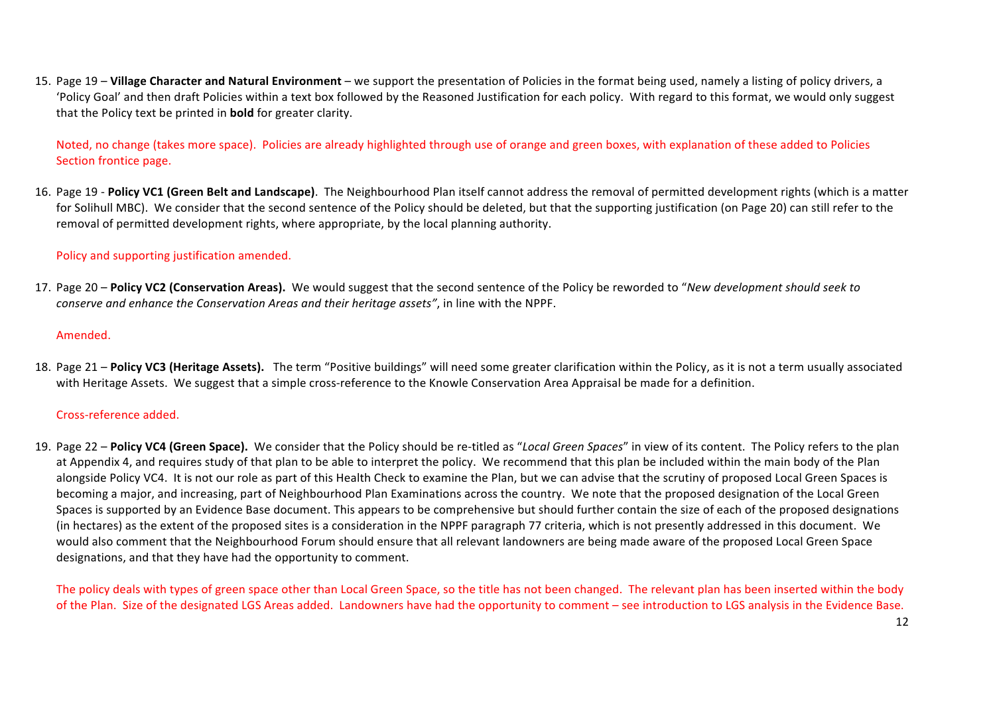15. Page 19 – **Village Character and Natural Environment** – we support the presentation of Policies in the format being used, namely a listing of policy drivers, a 'Policy Goal' and then draft Policies within a text box followed by the Reasoned Justification for each policy. With regard to this format, we would only suggest that the Policy text be printed in **bold** for greater clarity.

Noted, no change (takes more space). Policies are already highlighted through use of orange and green boxes, with explanation of these added to Policies Section frontice page.

16. Page 19 - Policy VC1 (Green Belt and Landscape). The Neighbourhood Plan itself cannot address the removal of permitted development rights (which is a matter for Solihull MBC). We consider that the second sentence of the Policy should be deleted, but that the supporting iustification (on Page 20) can still refer to the removal of permitted development rights, where appropriate, by the local planning authority.

# Policy and supporting justification amended.

17. Page 20 – **Policy VC2 (Conservation Areas).** We would suggest that the second sentence of the Policy be reworded to "*New development should seek to conserve and enhance the Conservation Areas and their heritage assets"*, in line with the NPPF.

## Amended.

18. Page 21 – Policy VC3 (Heritage Assets). The term "Positive buildings" will need some greater clarification within the Policy, as it is not a term usually associated with Heritage Assets. We suggest that a simple cross-reference to the Knowle Conservation Area Appraisal be made for a definition.

# Cross-reference added.

19. Page 22 – Policy VC4 (Green Space). We consider that the Policy should be re-titled as "Local Green Spaces" in view of its content. The Policy refers to the plan at Appendix 4, and requires study of that plan to be able to interpret the policy. We recommend that this plan be included within the main body of the Plan alongside Policy VC4. It is not our role as part of this Health Check to examine the Plan, but we can advise that the scrutiny of proposed Local Green Spaces is becoming a major, and increasing, part of Neighbourhood Plan Examinations across the country. We note that the proposed designation of the Local Green Spaces is supported by an Evidence Base document. This appears to be comprehensive but should further contain the size of each of the proposed designations (in hectares) as the extent of the proposed sites is a consideration in the NPPF paragraph 77 criteria, which is not presently addressed in this document. We would also comment that the Neighbourhood Forum should ensure that all relevant landowners are being made aware of the proposed Local Green Space designations, and that they have had the opportunity to comment.

The policy deals with types of green space other than Local Green Space, so the title has not been changed. The relevant plan has been inserted within the body of the Plan. Size of the designated LGS Areas added. Landowners have had the opportunity to comment – see introduction to LGS analysis in the Evidence Base.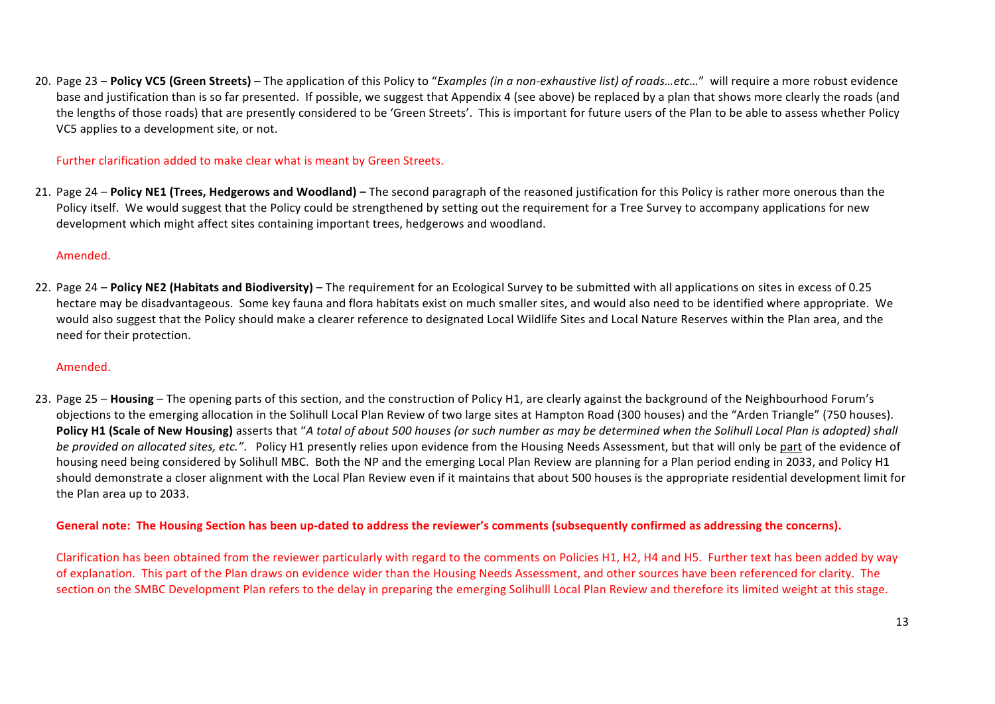20. Page 23 – Policy VC5 (Green Streets) – The application of this Policy to "*Examples (in a non-exhaustive list)* of roads...etc..." will require a more robust evidence base and iustification than is so far presented. If possible, we suggest that Appendix 4 (see above) be replaced by a plan that shows more clearly the roads (and the lengths of those roads) that are presently considered to be 'Green Streets'. This is important for future users of the Plan to be able to assess whether Policy VC5 applies to a development site, or not.

## Further clarification added to make clear what is meant by Green Streets.

21. Page 24 – Policy NE1 (Trees, Hedgerows and Woodland) – The second paragraph of the reasoned justification for this Policy is rather more onerous than the Policy itself. We would suggest that the Policy could be strengthened by setting out the requirement for a Tree Survey to accompany applications for new development which might affect sites containing important trees, hedgerows and woodland.

## Amended.

22. Page 24 – Policy NE2 (Habitats and Biodiversity) – The requirement for an Ecological Survey to be submitted with all applications on sites in excess of 0.25 hectare may be disadvantageous. Some key fauna and flora habitats exist on much smaller sites, and would also need to be identified where appropriate. We would also suggest that the Policy should make a clearer reference to designated Local Wildlife Sites and Local Nature Reserves within the Plan area, and the need for their protection.

# Amended.

23. Page 25 – Housing – The opening parts of this section, and the construction of Policy H1, are clearly against the background of the Neighbourhood Forum's objections to the emerging allocation in the Solihull Local Plan Review of two large sites at Hampton Road (300 houses) and the "Arden Triangle" (750 houses). **Policy H1 (Scale of New Housing)** asserts that "A total of about 500 houses (or such number as may be determined when the Solihull Local Plan is adopted) shall *be provided on allocated sites, etc.".* Policy H1 presently relies upon evidence from the Housing Needs Assessment, but that will only be part of the evidence of housing need being considered by Solihull MBC. Both the NP and the emerging Local Plan Review are planning for a Plan period ending in 2033, and Policy H1 should demonstrate a closer alignment with the Local Plan Review even if it maintains that about 500 houses is the appropriate residential development limit for the Plan area up to 2033.

## General note: The Housing Section has been up-dated to address the reviewer's comments (subsequently confirmed as addressing the concerns).

Clarification has been obtained from the reviewer particularly with regard to the comments on Policies H1, H2, H4 and H5. Further text has been added by way of explanation. This part of the Plan draws on evidence wider than the Housing Needs Assessment, and other sources have been referenced for clarity. The section on the SMBC Development Plan refers to the delay in preparing the emerging Solihulll Local Plan Review and therefore its limited weight at this stage.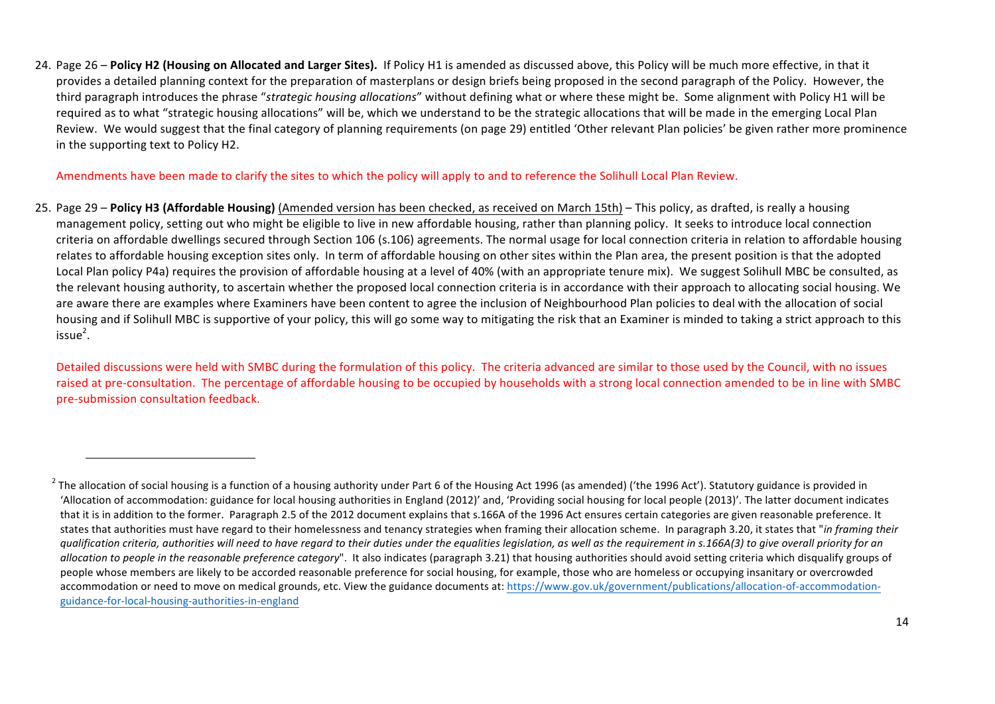24. Page 26 – Policy H2 (Housing on Allocated and Larger Sites). If Policy H1 is amended as discussed above, this Policy will be much more effective, in that it provides a detailed planning context for the preparation of masterplans or design briefs being proposed in the second paragraph of the Policy. However, the third paragraph introduces the phrase "*strategic housing allocations*" without defining what or where these might be. Some alignment with Policy H1 will be required as to what "strategic housing allocations" will be, which we understand to be the strategic allocations that will be made in the emerging Local Plan Review. We would suggest that the final category of planning requirements (on page 29) entitled 'Other relevant Plan policies' be given rather more prominence in the supporting text to Policy H2.

Amendments have been made to clarify the sites to which the policy will apply to and to reference the Solihull Local Plan Review.

<u> 1989 - Johann Stein, fransk politik (d. 1989)</u>

25. Page 29 - Policy H3 (Affordable Housing) (Amended version has been checked, as received on March 15th) - This policy, as drafted, is really a housing management policy, setting out who might be eligible to live in new affordable housing, rather than planning policy. It seeks to introduce local connection criteria on affordable dwellings secured through Section 106 (s.106) agreements. The normal usage for local connection criteria in relation to affordable housing relates to affordable housing exception sites only. In term of affordable housing on other sites within the Plan area, the present position is that the adopted Local Plan policy P4a) requires the provision of affordable housing at a level of 40% (with an appropriate tenure mix). We suggest Solihull MBC be consulted, as the relevant housing authority, to ascertain whether the proposed local connection criteria is in accordance with their approach to allocating social housing. We are aware there are examples where Examiners have been content to agree the inclusion of Neighbourhood Plan policies to deal with the allocation of social housing and if Solihull MBC is supportive of your policy, this will go some way to mitigating the risk that an Examiner is minded to taking a strict approach to this  $isue<sup>2</sup>$ .

Detailed discussions were held with SMBC during the formulation of this policy. The criteria advanced are similar to those used by the Council, with no issues raised at pre-consultation. The percentage of affordable housing to be occupied by households with a strong local connection amended to be in line with SMBC pre-submission consultation feedback.

 $2$  The allocation of social housing is a function of a housing authority under Part 6 of the Housing Act 1996 (as amended) ('the 1996 Act'). Statutory guidance is provided in 'Allocation of accommodation: guidance for local housing authorities in England (2012)' and, 'Providing social housing for local people (2013)'. The latter document indicates that it is in addition to the former. Paragraph 2.5 of the 2012 document explains that s.166A of the 1996 Act ensures certain categories are given reasonable preference. It states that authorities must have regard to their homelessness and tenancy strategies when framing their allocation scheme. In paragraph 3.20, it states that "in framing their *qualification criteria, authorities will need to have regard to their duties under the equalities legislation, as well as the requirement in s.166A(3) to give overall priority for an*  allocation to people in the reasonable preference category". It also indicates (paragraph 3.21) that housing authorities should avoid setting criteria which disqualify groups of people whose members are likely to be accorded reasonable preference for social housing, for example, those who are homeless or occupying insanitary or overcrowded accommodation or need to move on medical grounds, etc. View the guidance documents at: https://www.gov.uk/government/publications/allocation-of-accommodationguidance-for-local-housing-authorities-in-england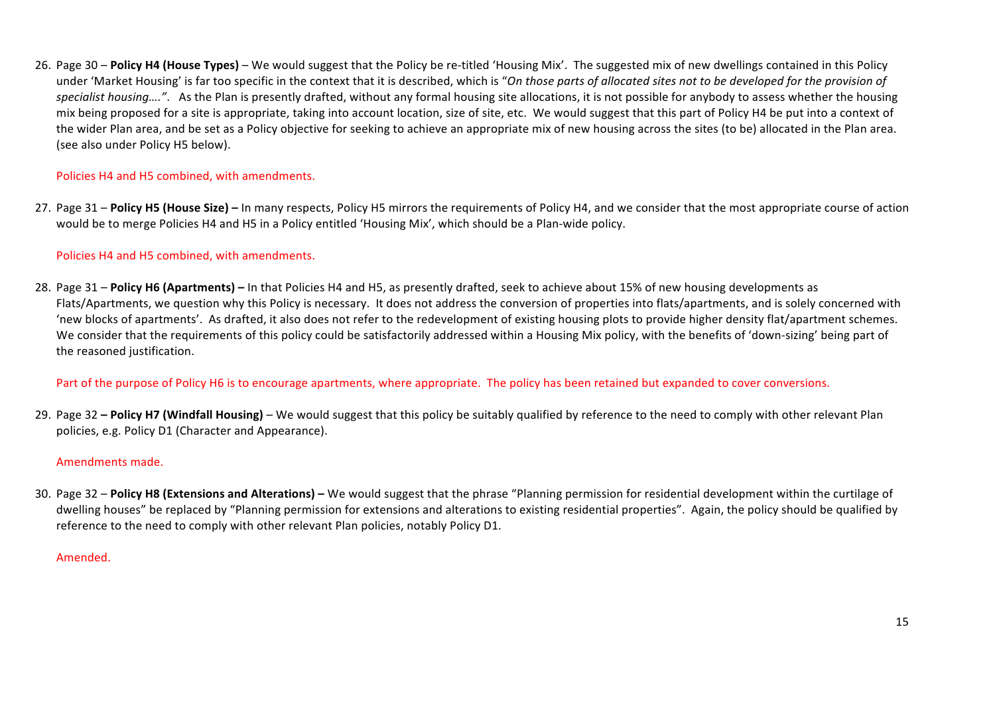26. Page 30 – Policy H4 (House Types) – We would suggest that the Policy be re-titled 'Housing Mix'. The suggested mix of new dwellings contained in this Policy under 'Market Housing' is far too specific in the context that it is described, which is "On those parts of allocated sites not to be developed for the provision of specialist housing....". As the Plan is presently drafted, without any formal housing site allocations, it is not possible for anybody to assess whether the housing mix being proposed for a site is appropriate, taking into account location, size of site, etc. We would suggest that this part of Policy H4 be put into a context of the wider Plan area, and be set as a Policy objective for seeking to achieve an appropriate mix of new housing across the sites (to be) allocated in the Plan area. (see also under Policy H5 below).

# Policies H4 and H5 combined, with amendments.

27. Page 31 – **Policy H5 (House Size)** – In many respects, Policy H5 mirrors the requirements of Policy H4, and we consider that the most appropriate course of action would be to merge Policies H4 and H5 in a Policy entitled 'Housing Mix', which should be a Plan-wide policy.

# Policies H4 and H5 combined, with amendments.

28. Page 31 – Policy H6 (Apartments) – In that Policies H4 and H5, as presently drafted, seek to achieve about 15% of new housing developments as Flats/Apartments, we question why this Policy is necessary. It does not address the conversion of properties into flats/apartments, and is solely concerned with 'new blocks of apartments'. As drafted, it also does not refer to the redevelopment of existing housing plots to provide higher density flat/apartment schemes. We consider that the requirements of this policy could be satisfactorily addressed within a Housing Mix policy, with the benefits of 'down-sizing' being part of the reasoned justification.

# Part of the purpose of Policy H6 is to encourage apartments, where appropriate. The policy has been retained but expanded to cover conversions.

29. Page 32 – **Policy H7 (Windfall Housing)** – We would suggest that this policy be suitably qualified by reference to the need to comply with other relevant Plan policies, e.g. Policy D1 (Character and Appearance).

## Amendments made.

30. Page 32 – Policy H8 (Extensions and Alterations) – We would suggest that the phrase "Planning permission for residential development within the curtilage of dwelling houses" be replaced by "Planning permission for extensions and alterations to existing residential properties". Again, the policy should be qualified by reference to the need to comply with other relevant Plan policies, notably Policy D1.

## Amended.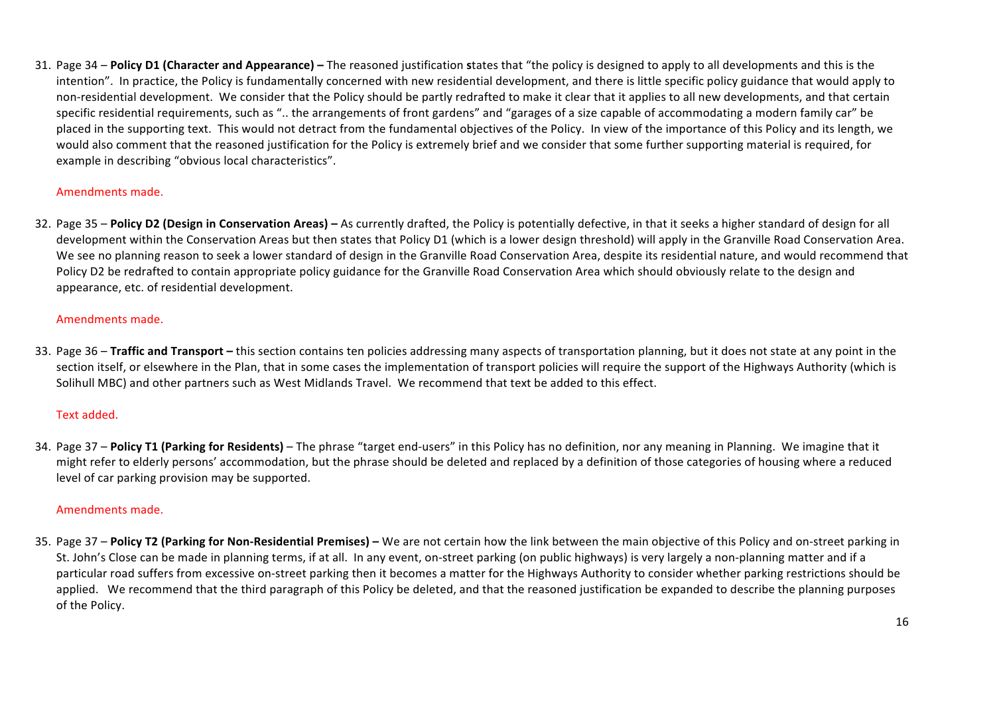31. Page 34 – Policy D1 (Character and Appearance) – The reasoned justification states that "the policy is designed to apply to all developments and this is the intention". In practice, the Policy is fundamentally concerned with new residential development, and there is little specific policy guidance that would apply to non-residential development. We consider that the Policy should be partly redrafted to make it clear that it applies to all new developments, and that certain specific residential requirements, such as ".. the arrangements of front gardens" and "garages of a size capable of accommodating a modern family car" be placed in the supporting text. This would not detract from the fundamental objectives of the Policy. In view of the importance of this Policy and its length, we would also comment that the reasoned justification for the Policy is extremely brief and we consider that some further supporting material is required, for example in describing "obvious local characteristics".

## Amendments made.

32. Page 35 – **Policy D2 (Design in Conservation Areas)** – As currently drafted, the Policy is potentially defective, in that it seeks a higher standard of design for all development within the Conservation Areas but then states that Policy D1 (which is a lower design threshold) will apply in the Granville Road Conservation Area. We see no planning reason to seek a lower standard of design in the Granville Road Conservation Area, despite its residential nature, and would recommend that Policy D2 be redrafted to contain appropriate policy guidance for the Granville Road Conservation Area which should obviously relate to the design and appearance, etc. of residential development.

# Amendments made.

33. Page 36 – Traffic and Transport – this section contains ten policies addressing many aspects of transportation planning, but it does not state at any point in the section itself, or elsewhere in the Plan, that in some cases the implementation of transport policies will require the support of the Highways Authority (which is Solihull MBC) and other partners such as West Midlands Travel. We recommend that text be added to this effect.

# Text added.

34. Page 37 – Policy T1 (Parking for Residents) – The phrase "target end-users" in this Policy has no definition, nor any meaning in Planning. We imagine that it might refer to elderly persons' accommodation, but the phrase should be deleted and replaced by a definition of those categories of housing where a reduced level of car parking provision may be supported.

## Amendments made.

35. Page 37 - Policy T2 (Parking for Non-Residential Premises) - We are not certain how the link between the main objective of this Policy and on-street parking in St. John's Close can be made in planning terms, if at all. In any event, on-street parking (on public highways) is very largely a non-planning matter and if a particular road suffers from excessive on-street parking then it becomes a matter for the Highways Authority to consider whether parking restrictions should be applied. We recommend that the third paragraph of this Policy be deleted, and that the reasoned iustification be expanded to describe the planning purposes of the Policy.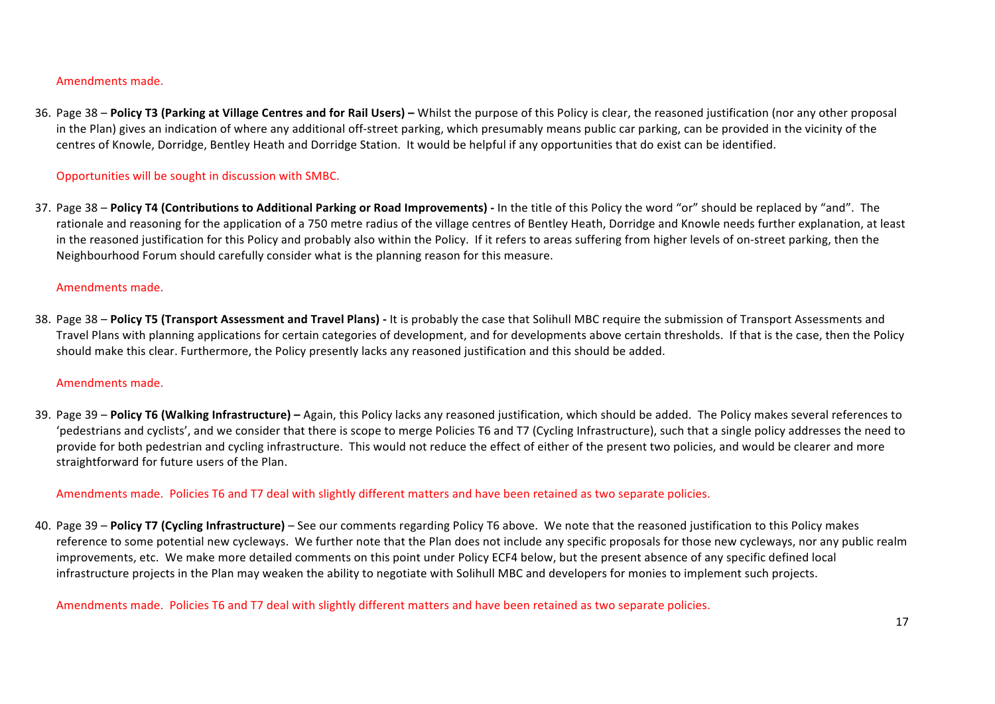#### Amendments made.

36. Page 38 – Policy T3 (Parking at Village Centres and for Rail Users) – Whilst the purpose of this Policy is clear, the reasoned justification (nor any other proposal in the Plan) gives an indication of where any additional off-street parking, which presumably means public car parking, can be provided in the vicinity of the centres of Knowle, Dorridge, Bentley Heath and Dorridge Station. It would be helpful if any opportunities that do exist can be identified.

# Opportunities will be sought in discussion with SMBC.

37. Page 38 – Policy T4 (Contributions to Additional Parking or Road Improvements) - In the title of this Policy the word "or" should be replaced by "and". The rationale and reasoning for the application of a 750 metre radius of the village centres of Bentley Heath. Dorridge and Knowle needs further explanation, at least in the reasoned iustification for this Policy and probably also within the Policy. If it refers to areas suffering from higher levels of on-street parking, then the Neighbourhood Forum should carefully consider what is the planning reason for this measure.

#### Amendments made.

38. Page 38 - Policy T5 (Transport Assessment and Travel Plans) - It is probably the case that Solihull MBC require the submission of Transport Assessments and Travel Plans with planning applications for certain categories of development, and for developments above certain thresholds. If that is the case, then the Policy should make this clear. Furthermore, the Policy presently lacks any reasoned justification and this should be added.

#### Amendments made.

39. Page 39 – **Policy T6 (Walking Infrastructure)** – Again, this Policy lacks any reasoned iustification, which should be added. The Policy makes several references to 'pedestrians and cyclists', and we consider that there is scope to merge Policies T6 and T7 (Cycling Infrastructure), such that a single policy addresses the need to provide for both pedestrian and cycling infrastructure. This would not reduce the effect of either of the present two policies, and would be clearer and more straightforward for future users of the Plan.

## Amendments made. Policies T6 and T7 deal with slightly different matters and have been retained as two separate policies.

40. Page 39 - Policy T7 (Cycling Infrastructure) - See our comments regarding Policy T6 above. We note that the reasoned justification to this Policy makes reference to some potential new cycleways. We further note that the Plan does not include any specific proposals for those new cycleways, nor any public realm improvements, etc. We make more detailed comments on this point under Policy ECF4 below, but the present absence of any specific defined local infrastructure projects in the Plan may weaken the ability to negotiate with Solihull MBC and developers for monies to implement such projects.

## Amendments made. Policies T6 and T7 deal with slightly different matters and have been retained as two separate policies.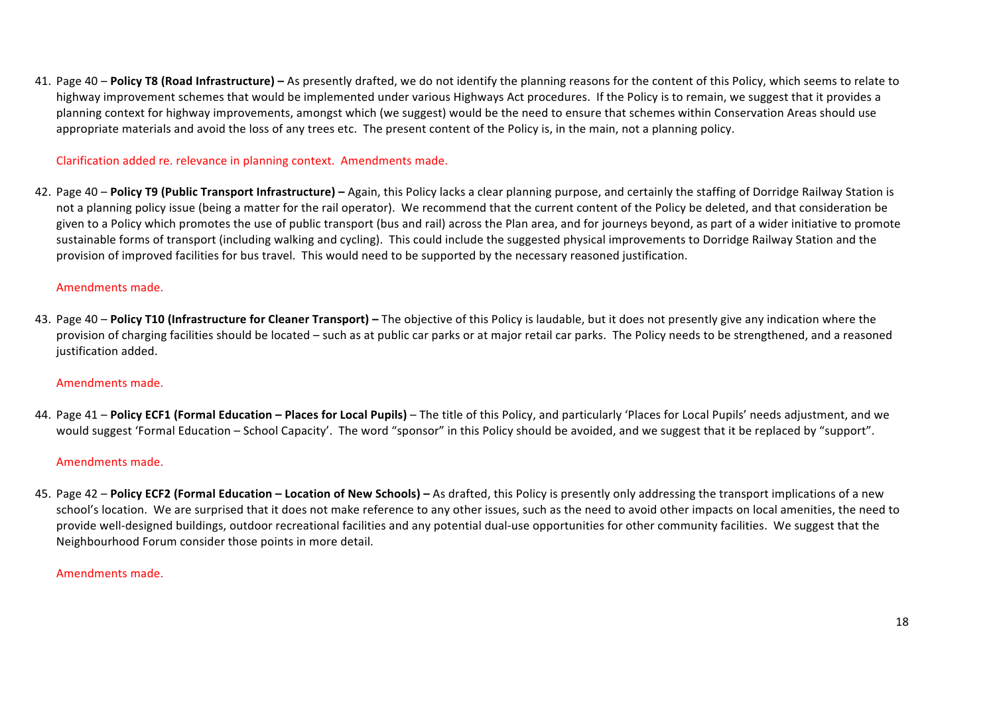41. Page 40 – **Policy T8 (Road Infrastructure)** – As presently drafted, we do not identify the planning reasons for the content of this Policy, which seems to relate to highway improvement schemes that would be implemented under various Highways Act procedures. If the Policy is to remain, we suggest that it provides a planning context for highway improvements, amongst which (we suggest) would be the need to ensure that schemes within Conservation Areas should use appropriate materials and avoid the loss of any trees etc. The present content of the Policy is, in the main, not a planning policy.

## Clarification added re. relevance in planning context. Amendments made.

42. Page 40 – Policy T9 (Public Transport Infrastructure) – Again, this Policy lacks a clear planning purpose, and certainly the staffing of Dorridge Railway Station is not a planning policy issue (being a matter for the rail operator). We recommend that the current content of the Policy be deleted, and that consideration be given to a Policy which promotes the use of public transport (bus and rail) across the Plan area, and for journeys beyond, as part of a wider initiative to promote sustainable forms of transport (including walking and cycling). This could include the suggested physical improvements to Dorridge Railway Station and the provision of improved facilities for bus travel. This would need to be supported by the necessary reasoned justification.

#### Amendments made.

43. Page 40 – **Policy T10 (Infrastructure for Cleaner Transport)** – The objective of this Policy is laudable, but it does not presently give any indication where the provision of charging facilities should be located – such as at public car parks or at major retail car parks. The Policy needs to be strengthened, and a reasoned justification added.

#### Amendments made.

44. Page 41 - Policy ECF1 (Formal Education - Places for Local Pupils) - The title of this Policy, and particularly 'Places for Local Pupils' needs adjustment, and we would suggest 'Formal Education – School Capacity'. The word "sponsor" in this Policy should be avoided, and we suggest that it be replaced by "support".

#### Amendments made.

45. Page 42 – **Policy ECF2 (Formal Education – Location of New Schools)** – As drafted, this Policy is presently only addressing the transport implications of a new school's location. We are surprised that it does not make reference to any other issues, such as the need to avoid other impacts on local amenities, the need to provide well-designed buildings, outdoor recreational facilities and any potential dual-use opportunities for other community facilities. We suggest that the Neighbourhood Forum consider those points in more detail.

#### Amendments made.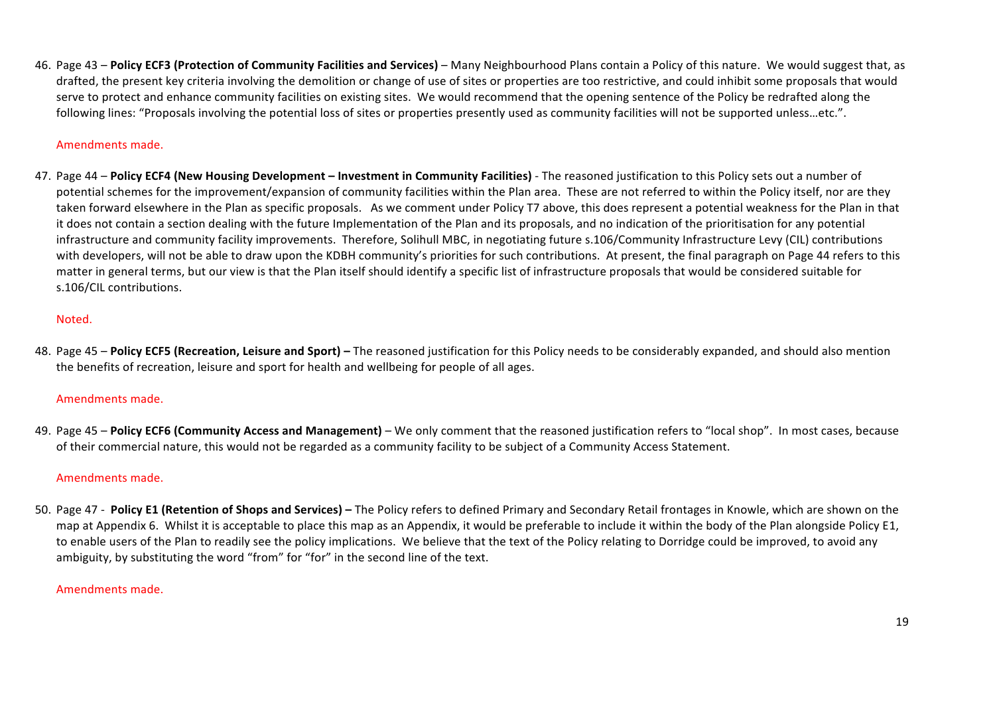46. Page 43 – Policy ECF3 (Protection of Community Facilities and Services) – Many Neighbourhood Plans contain a Policy of this nature. We would suggest that, as drafted, the present key criteria involving the demolition or change of use of sites or properties are too restrictive, and could inhibit some proposals that would serve to protect and enhance community facilities on existing sites. We would recommend that the opening sentence of the Policy be redrafted along the following lines: "Proposals involving the potential loss of sites or properties presently used as community facilities will not be supported unless...etc.".

## Amendments made.

47. Page 44 - Policy ECF4 (New Housing Development - Investment in Community Facilities) - The reasoned justification to this Policy sets out a number of potential schemes for the improvement/expansion of community facilities within the Plan area. These are not referred to within the Policy itself, nor are they taken forward elsewhere in the Plan as specific proposals. As we comment under Policy T7 above, this does represent a potential weakness for the Plan in that it does not contain a section dealing with the future Implementation of the Plan and its proposals, and no indication of the prioritisation for any potential infrastructure and community facility improvements. Therefore, Solihull MBC, in negotiating future s.106/Community Infrastructure Levy (CIL) contributions with developers, will not be able to draw upon the KDBH community's priorities for such contributions. At present, the final paragraph on Page 44 refers to this matter in general terms, but our view is that the Plan itself should identify a specific list of infrastructure proposals that would be considered suitable for s.106/CIL contributions.

## Noted.

48. Page 45 – Policy ECF5 (Recreation, Leisure and Sport) – The reasoned justification for this Policy needs to be considerably expanded, and should also mention the benefits of recreation, leisure and sport for health and wellbeing for people of all ages.

## Amendments made.

49. Page 45 – **Policy ECF6 (Community Access and Management)** – We only comment that the reasoned iustification refers to "local shop". In most cases, because of their commercial nature, this would not be regarded as a community facility to be subject of a Community Access Statement.

## Amendments made.

50. Page 47 - Policy E1 (Retention of Shops and Services) – The Policy refers to defined Primary and Secondary Retail frontages in Knowle, which are shown on the map at Appendix 6. Whilst it is acceptable to place this map as an Appendix, it would be preferable to include it within the body of the Plan alongside Policy E1, to enable users of the Plan to readily see the policy implications. We believe that the text of the Policy relating to Dorridge could be improved, to avoid any ambiguity, by substituting the word "from" for "for" in the second line of the text.

#### Amendments made.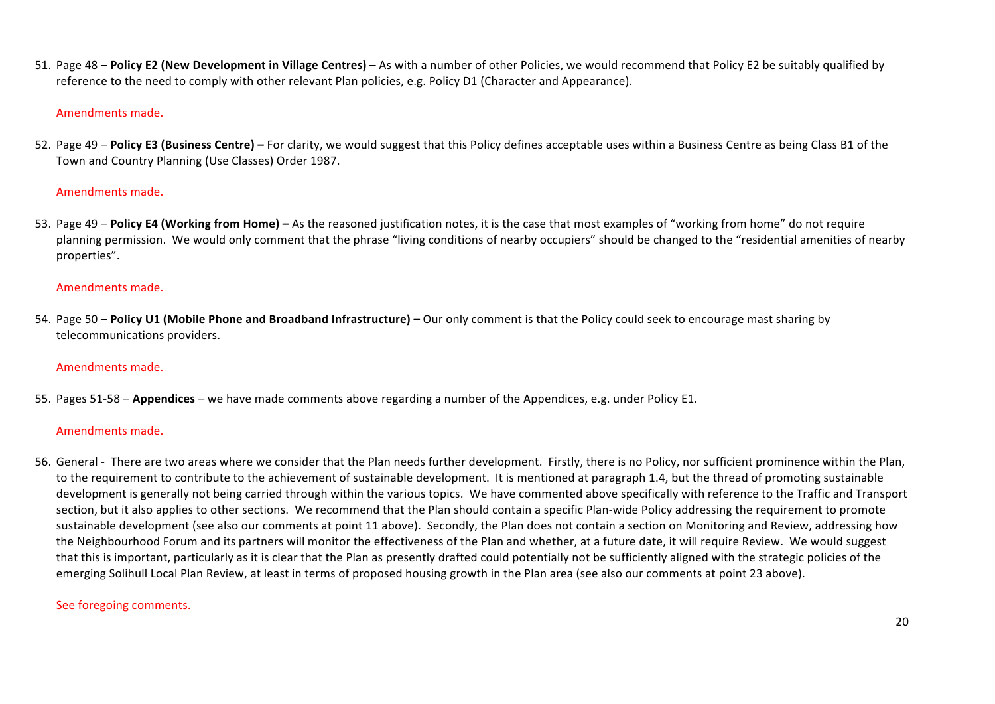51. Page 48 – Policy E2 (New Development in Village Centres) – As with a number of other Policies, we would recommend that Policy E2 be suitably qualified by reference to the need to comply with other relevant Plan policies, e.g. Policy D1 (Character and Appearance).

#### Amendments made.

52. Page 49 - Policy E3 (Business Centre) - For clarity, we would suggest that this Policy defines acceptable uses within a Business Centre as being Class B1 of the Town and Country Planning (Use Classes) Order 1987.

#### Amendments made.

53. Page 49 – **Policy E4 (Working from Home)** – As the reasoned iustification notes, it is the case that most examples of "working from home" do not require planning permission. We would only comment that the phrase "living conditions of nearby occupiers" should be changed to the "residential amenities of nearby properties". 

#### Amendments made.

54. Page 50 – **Policy U1 (Mobile Phone and Broadband Infrastructure)** – Our only comment is that the Policy could seek to encourage mast sharing by telecommunications providers.

## Amendments made.

55. Pages 51-58 – **Appendices** – we have made comments above regarding a number of the Appendices, e.g. under Policy E1.

#### Amendments made.

56. General - There are two areas where we consider that the Plan needs further development. Firstly, there is no Policy, nor sufficient prominence within the Plan, to the requirement to contribute to the achievement of sustainable development. It is mentioned at paragraph 1.4, but the thread of promoting sustainable development is generally not being carried through within the various topics. We have commented above specifically with reference to the Traffic and Transport section, but it also applies to other sections. We recommend that the Plan should contain a specific Plan-wide Policy addressing the requirement to promote sustainable development (see also our comments at point 11 above). Secondly, the Plan does not contain a section on Monitoring and Review, addressing how the Neighbourhood Forum and its partners will monitor the effectiveness of the Plan and whether, at a future date, it will require Review. We would suggest that this is important, particularly as it is clear that the Plan as presently drafted could potentially not be sufficiently aligned with the strategic policies of the emerging Solihull Local Plan Review, at least in terms of proposed housing growth in the Plan area (see also our comments at point 23 above).

## See foregoing comments.